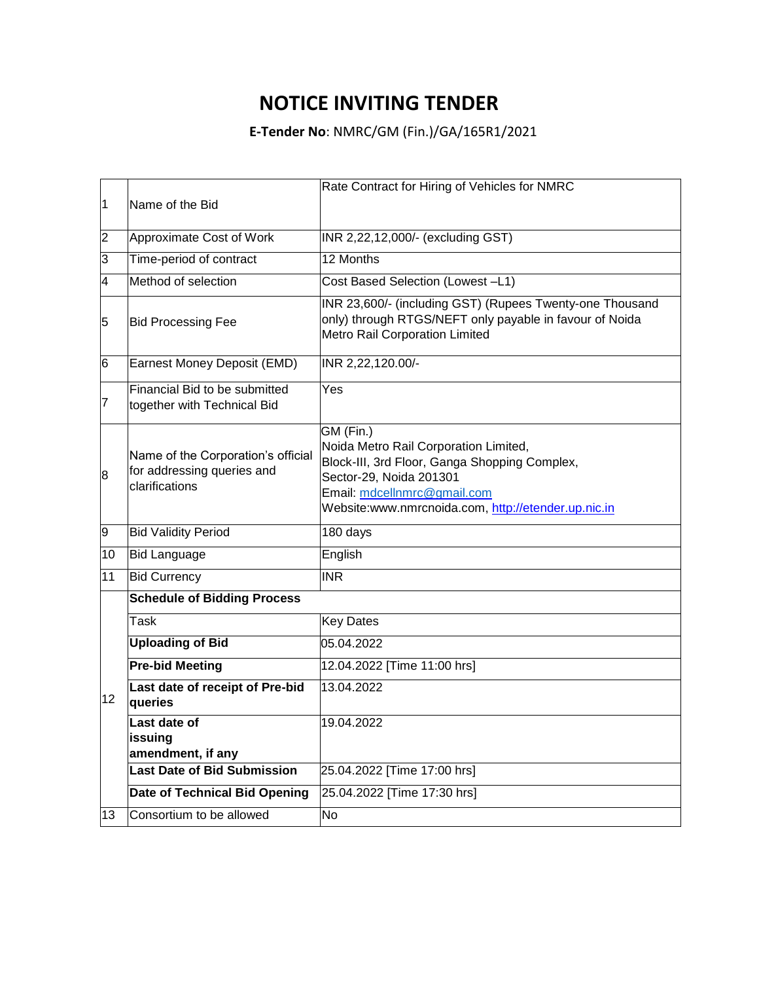## **NOTICE INVITING TENDER**

**E-Tender No**: NMRC/GM (Fin.)/GA/165R1/2021

|    |                                                                                    | Rate Contract for Hiring of Vehicles for NMRC                                                                                                                                                                        |
|----|------------------------------------------------------------------------------------|----------------------------------------------------------------------------------------------------------------------------------------------------------------------------------------------------------------------|
| 1  | Name of the Bid                                                                    |                                                                                                                                                                                                                      |
|    |                                                                                    |                                                                                                                                                                                                                      |
| 2  | Approximate Cost of Work                                                           | INR 2,22,12,000/- (excluding GST)                                                                                                                                                                                    |
| 3  | Time-period of contract                                                            | 12 Months                                                                                                                                                                                                            |
| 4  | Method of selection                                                                | Cost Based Selection (Lowest -L1)                                                                                                                                                                                    |
| 5  | <b>Bid Processing Fee</b>                                                          | INR 23,600/- (including GST) (Rupees Twenty-one Thousand<br>only) through RTGS/NEFT only payable in favour of Noida<br><b>Metro Rail Corporation Limited</b>                                                         |
| 6  | Earnest Money Deposit (EMD)                                                        | INR 2,22,120.00/-                                                                                                                                                                                                    |
| 7  | Financial Bid to be submitted<br>together with Technical Bid                       | $\overline{Yes}$                                                                                                                                                                                                     |
| 8  | Name of the Corporation's official<br>for addressing queries and<br>clarifications | GM (Fin.)<br>Noida Metro Rail Corporation Limited,<br>Block-III, 3rd Floor, Ganga Shopping Complex,<br>Sector-29, Noida 201301<br>Email: mdcellnmrc@gmail.com<br>Website:www.nmrcnoida.com, http://etender.up.nic.in |
| 9  | <b>Bid Validity Period</b>                                                         | 180 days                                                                                                                                                                                                             |
| 10 | <b>Bid Language</b>                                                                | English                                                                                                                                                                                                              |
| 11 | <b>Bid Currency</b>                                                                | <b>INR</b>                                                                                                                                                                                                           |
|    | <b>Schedule of Bidding Process</b>                                                 |                                                                                                                                                                                                                      |
| 12 | <b>Task</b>                                                                        | <b>Key Dates</b>                                                                                                                                                                                                     |
|    | <b>Uploading of Bid</b>                                                            | 05.04.2022                                                                                                                                                                                                           |
|    | <b>Pre-bid Meeting</b>                                                             | 12.04.2022 [Time 11:00 hrs]                                                                                                                                                                                          |
|    | Last date of receipt of Pre-bid<br>queries                                         | 13.04.2022                                                                                                                                                                                                           |
|    | Last date of<br>issuing<br>amendment, if any                                       | 19.04.2022                                                                                                                                                                                                           |
|    | <b>Last Date of Bid Submission</b>                                                 | 25.04.2022 [Time 17:00 hrs]                                                                                                                                                                                          |
|    | <b>Date of Technical Bid Opening</b>                                               | 25.04.2022 [Time 17:30 hrs]                                                                                                                                                                                          |
| 13 | Consortium to be allowed                                                           | No                                                                                                                                                                                                                   |